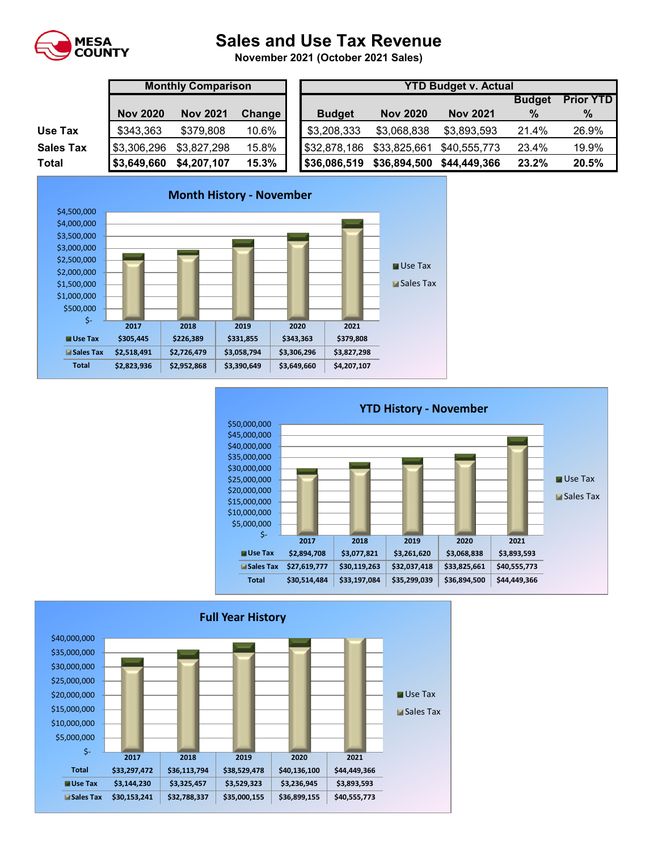

## **Sales and Use Tax Revenue**

**November 2021 (October 2021 Sales)** 

|                  | <b>Monthly Comparison</b> |                 |               | <b>YTD Budget v. Actual</b> |                 |                 |               |                  |  |
|------------------|---------------------------|-----------------|---------------|-----------------------------|-----------------|-----------------|---------------|------------------|--|
|                  |                           |                 |               |                             |                 |                 | <b>Budget</b> | <b>Prior YTD</b> |  |
|                  | <b>Nov 2020</b>           | <b>Nov 2021</b> | <b>Change</b> | <b>Budget</b>               | <b>Nov 2020</b> | <b>Nov 2021</b> | $\frac{9}{6}$ | $\%$             |  |
| Use Tax          | \$343,363                 | \$379,808       | 10.6%         | \$3,208,333                 | \$3,068,838     | \$3,893,593     | 21.4%         | 26.9%            |  |
| <b>Sales Tax</b> | \$3,306,296               | \$3,827,298     | 15.8%         | \$32,878,186                | \$33,825,661    | \$40,555,773    | 23.4%         | 19.9%            |  |
| Total            | \$3,649,660               | \$4,207,107     | 15.3%         | \$36,086,519                | \$36,894,500    | \$44,449,366    | 23.2%         | 20.5%            |  |





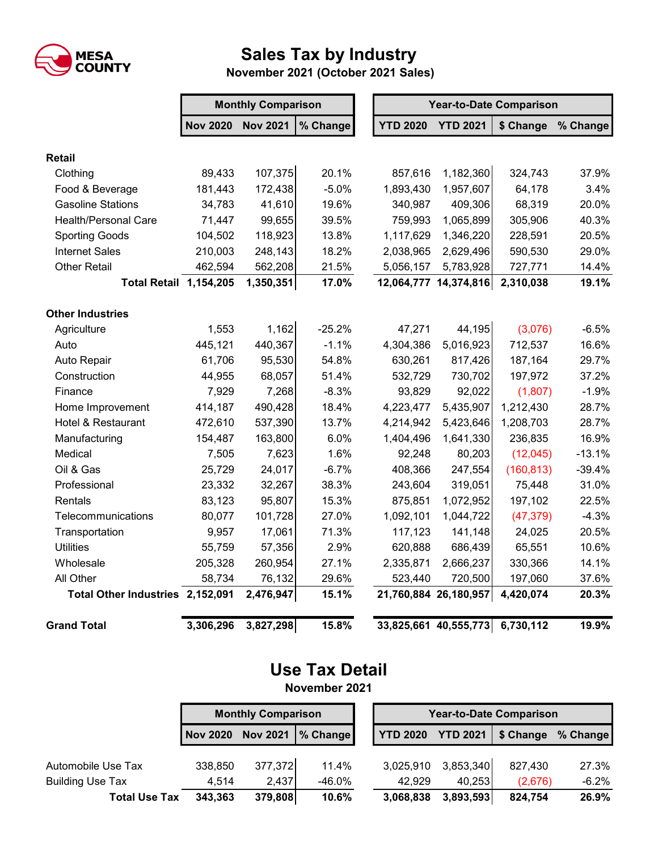

## **Sales Tax by Industry**

 **November 2021 (October 2021 Sales)**

|                                  | <b>Monthly Comparison</b> |                 |          |  | <b>Year-to-Date Comparison</b> |                                 |            |          |  |
|----------------------------------|---------------------------|-----------------|----------|--|--------------------------------|---------------------------------|------------|----------|--|
|                                  | <b>Nov 2020</b>           | <b>Nov 2021</b> | % Change |  | <b>YTD 2020</b>                | <b>YTD 2021</b>                 | \$ Change  | % Change |  |
| <b>Retail</b>                    |                           |                 |          |  |                                |                                 |            |          |  |
| Clothing                         | 89,433                    | 107,375         | 20.1%    |  | 857,616                        | 1,182,360                       | 324,743    | 37.9%    |  |
| Food & Beverage                  | 181,443                   | 172,438         | $-5.0%$  |  | 1,893,430                      | 1,957,607                       | 64,178     | 3.4%     |  |
| <b>Gasoline Stations</b>         | 34,783                    | 41,610          | 19.6%    |  | 340,987                        | 409,306                         | 68,319     | 20.0%    |  |
| <b>Health/Personal Care</b>      | 71,447                    | 99,655          | 39.5%    |  | 759,993                        | 1,065,899                       | 305,906    | 40.3%    |  |
| <b>Sporting Goods</b>            | 104,502                   | 118,923         | 13.8%    |  | 1,117,629                      | 1,346,220                       | 228,591    | 20.5%    |  |
| <b>Internet Sales</b>            | 210,003                   | 248,143         | 18.2%    |  | 2,038,965                      | 2,629,496                       | 590,530    | 29.0%    |  |
| <b>Other Retail</b>              | 462,594                   | 562,208         | 21.5%    |  | 5,056,157                      | 5,783,928                       | 727,771    | 14.4%    |  |
| <b>Total Retail 1,154,205</b>    |                           | 1,350,351       | 17.0%    |  |                                | 12,064,777 14,374,816           | 2,310,038  | 19.1%    |  |
| <b>Other Industries</b>          |                           |                 |          |  |                                |                                 |            |          |  |
| Agriculture                      | 1,553                     | 1,162           | $-25.2%$ |  | 47,271                         | 44,195                          | (3,076)    | $-6.5%$  |  |
| Auto                             | 445,121                   | 440,367         | $-1.1%$  |  | 4,304,386                      | 5,016,923                       | 712,537    | 16.6%    |  |
| Auto Repair                      | 61,706                    | 95,530          | 54.8%    |  | 630,261                        | 817,426                         | 187,164    | 29.7%    |  |
| Construction                     | 44,955                    | 68,057          | 51.4%    |  | 532,729                        | 730,702                         | 197,972    | 37.2%    |  |
| Finance                          | 7,929                     | 7,268           | $-8.3%$  |  | 93,829                         | 92,022                          | (1,807)    | $-1.9%$  |  |
| Home Improvement                 | 414,187                   | 490,428         | 18.4%    |  | 4,223,477                      | 5,435,907                       | 1,212,430  | 28.7%    |  |
| Hotel & Restaurant               | 472,610                   | 537,390         | 13.7%    |  | 4,214,942                      | 5,423,646                       | 1,208,703  | 28.7%    |  |
| Manufacturing                    | 154,487                   | 163,800         | 6.0%     |  | 1,404,496                      | 1,641,330                       | 236,835    | 16.9%    |  |
| Medical                          | 7,505                     | 7,623           | 1.6%     |  | 92,248                         | 80,203                          | (12,045)   | $-13.1%$ |  |
| Oil & Gas                        | 25,729                    | 24,017          | $-6.7%$  |  | 408,366                        | 247,554                         | (160, 813) | $-39.4%$ |  |
| Professional                     | 23,332                    | 32,267          | 38.3%    |  | 243,604                        | 319,051                         | 75,448     | 31.0%    |  |
| Rentals                          | 83,123                    | 95,807          | 15.3%    |  | 875,851                        | 1,072,952                       | 197,102    | 22.5%    |  |
| Telecommunications               | 80,077                    | 101,728         | 27.0%    |  | 1,092,101                      | 1,044,722                       | (47, 379)  | $-4.3%$  |  |
| Transportation                   | 9,957                     | 17,061          | 71.3%    |  | 117,123                        | 141,148                         | 24,025     | 20.5%    |  |
| <b>Utilities</b>                 | 55,759                    | 57,356          | 2.9%     |  | 620,888                        | 686,439                         | 65,551     | 10.6%    |  |
| Wholesale                        | 205,328                   | 260,954         | 27.1%    |  | 2,335,871                      | 2,666,237                       | 330,366    | 14.1%    |  |
| All Other                        | 58,734                    | 76,132          | 29.6%    |  | 523,440                        | 720,500                         | 197,060    | 37.6%    |  |
| Total Other Industries 2,152,091 |                           | 2,476,947       | 15.1%    |  |                                | 21,760,884 26,180,957           | 4,420,074  | 20.3%    |  |
| <b>Grand Total</b>               | 3,306,296                 | 3,827,298       | 15.8%    |  |                                | 33,825,661 40,555,773 6,730,112 |            | 19.9%    |  |

## **Use Tax Detail November 2021**

**Nov 2020 Nov 2021 % Change YTD 2020 YTD 2021 \$ Change % Change** Automobile Use Tax 338,850 377,372 11.4% 3,025,910 3,853,340 827,430 27.3% Building Use Tax 4,514 2,437 -46.0% 42,929 40,253 (2,676) -6.2% **Total Use Tax 343,363 379,808 10.6% 3,068,838 3,893,593 824,754 26.9% Monthly Comparison Year-to-Date Comparison**